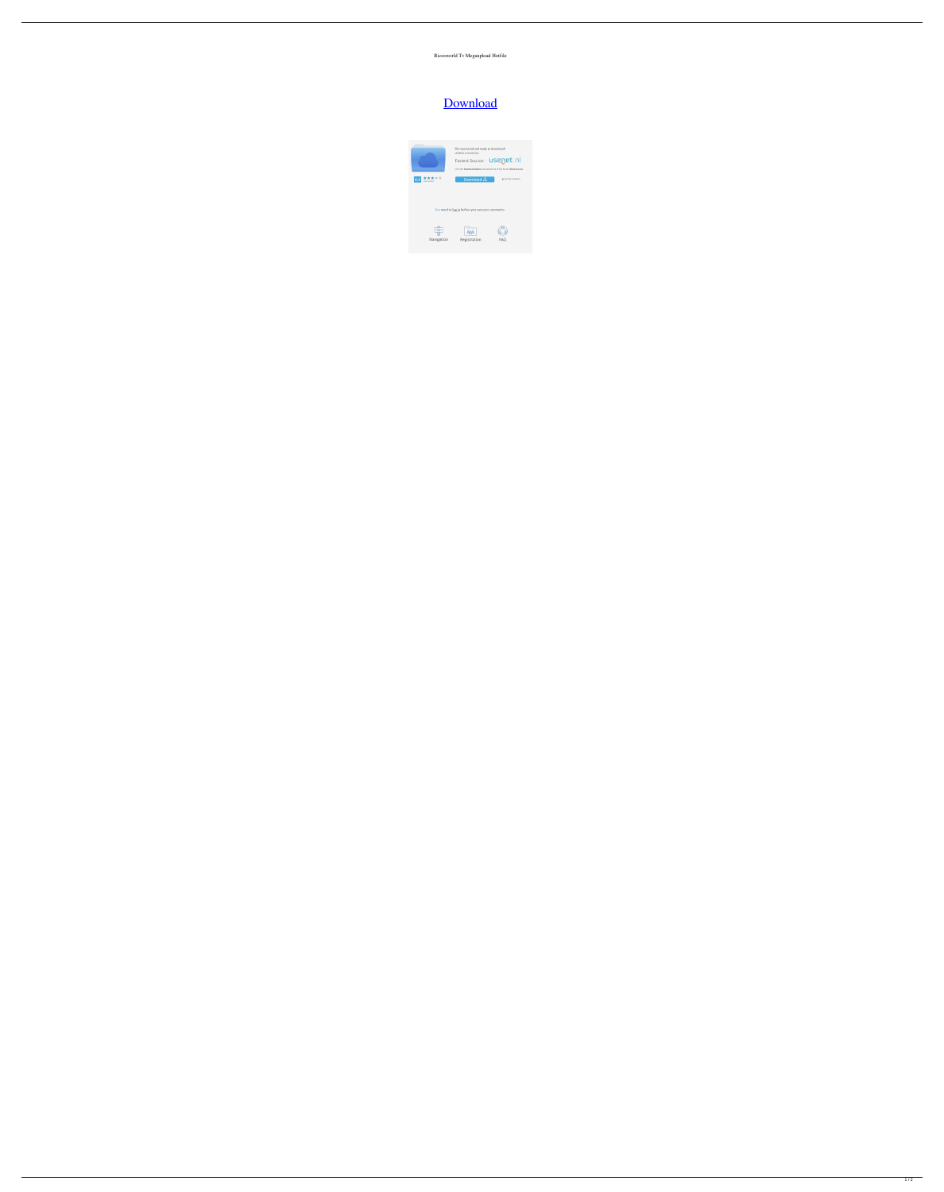## Ricosworld Tv Megaupload Hotfile

## [Download](http://evacdir.com/apocalyptic/togas.fella.impounded/ZG93bmxvYWR8S3M0ZVhacGZId3hOalV5TnpRd09EWTJmSHd5TlRjMGZId29UU2tnY21WaFpDMWliRzluSUZ0R1lYTjBJRWRGVGww/microbus/thinkgermany.nordic.cmljb3N3b3JsZCB0diBtZWdhdXBsb2FkIGhvdGZpbGUcml)